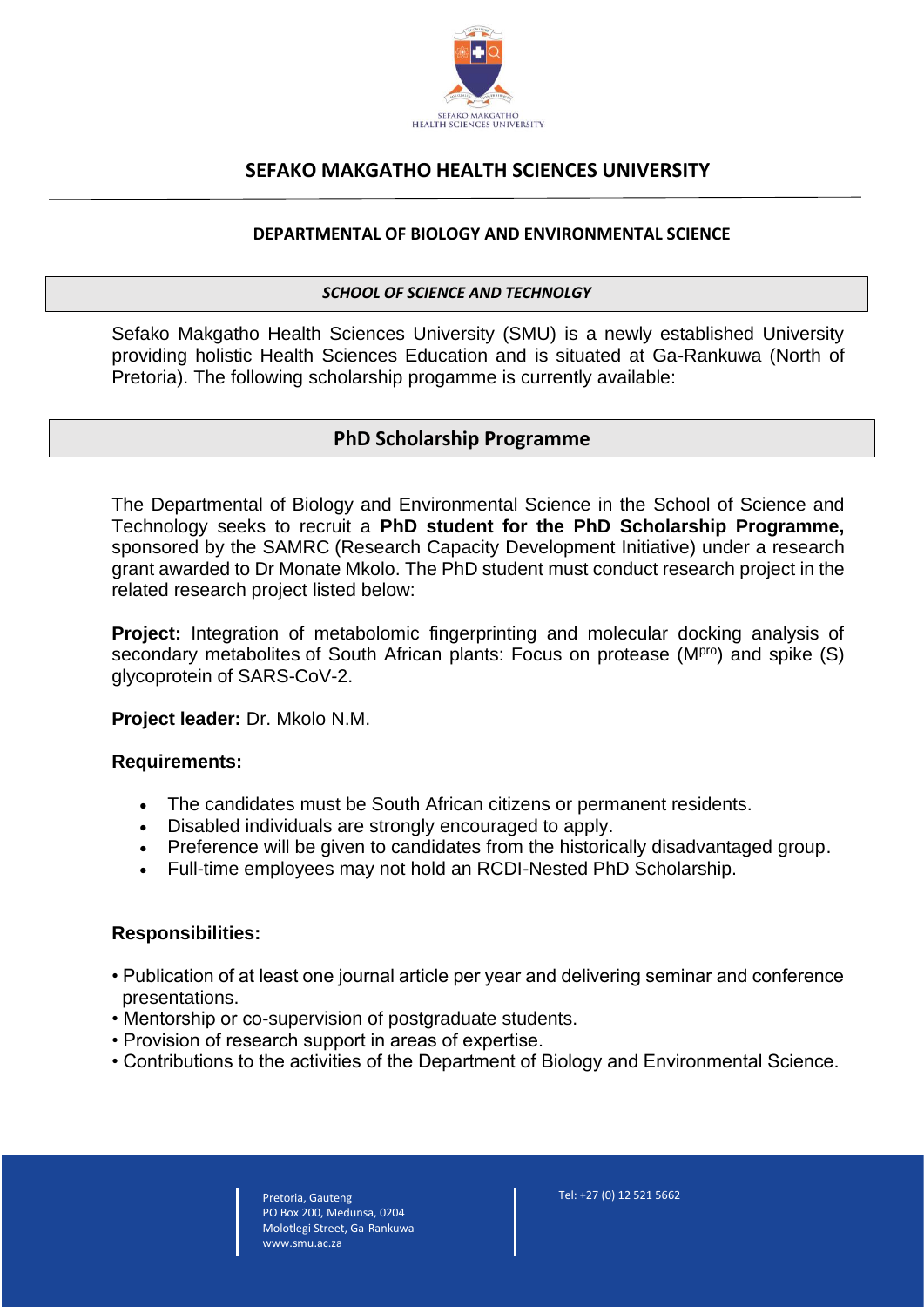

# **SEFAKO MAKGATHO HEALTH SCIENCES UNIVERSITY**

### **DEPARTMENTAL OF BIOLOGY AND ENVIRONMENTAL SCIENCE**

#### *SCHOOL OF SCIENCE AND TECHNOLGY*

Sefako Makgatho Health Sciences University (SMU) is a newly established University providing holistic Health Sciences Education and is situated at Ga-Rankuwa (North of Pretoria). The following scholarship progamme is currently available:

## **PhD Scholarship Programme**

The Departmental of Biology and Environmental Science in the School of Science and Technology seeks to recruit a **PhD student for the PhD Scholarship Programme,**  sponsored by the SAMRC (Research Capacity Development Initiative) under a research grant awarded to Dr Monate Mkolo. The PhD student must conduct research project in the related research project listed below:

**Project:** Integration of metabolomic fingerprinting and molecular docking analysis of secondary metabolites of South African plants: Focus on protease (M<sup>pro</sup>) and spike (S) glycoprotein of SARS-CoV-2.

**Project leader:** Dr. Mkolo N.M.

### **Requirements:**

- The candidates must be South African citizens or permanent residents.
- Disabled individuals are strongly encouraged to apply.
- Preference will be given to candidates from the historically disadvantaged group.
- Full-time employees may not hold an RCDI-Nested PhD Scholarship.

### **Responsibilities:**

- Publication of at least one journal article per year and delivering seminar and conference presentations.
- Mentorship or co-supervision of postgraduate students.
- Provision of research support in areas of expertise.
- Contributions to the activities of the Department of Biology and Environmental Science.

Pretoria, Gauteng PO Box 200, Medunsa, 0204 Molotlegi Street, Ga-Rankuwa www.smu.ac.za

Tel: +27 (0) 12 521 5662